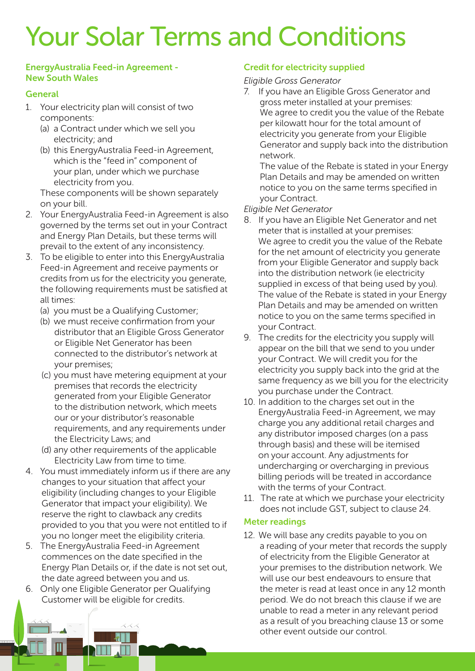# Your Solar Terms and Conditions

#### EnergyAustralia Feed-in Agreement - New South Wales

# **General**

- 1. Your electricity plan will consist of two components:
	- (a) a Contract under which we sell you electricity; and
	- (b) this EnergyAustralia Feed-in Agreement, which is the "feed in" component of your plan, under which we purchase electricity from you.

These components will be shown separately on your bill.

- 2. Your EnergyAustralia Feed-in Agreement is also governed by the terms set out in your Contract and Energy Plan Details, but these terms will prevail to the extent of any inconsistency.
- 3. To be eligible to enter into this EnergyAustralia Feed-in Agreement and receive payments or credits from us for the electricity you generate, the following requirements must be satisfied at all times:
	- (a) you must be a Qualifying Customer;
	- (b) we must receive confirmation from your distributor that an Eligible Gross Generator or Eligible Net Generator has been connected to the distributor's network at your premises;
	- (c) you must have metering equipment at your premises that records the electricity generated from your Eligible Generator to the distribution network, which meets our or your distributor's reasonable requirements, and any requirements under the Electricity Laws; and
	- (d) any other requirements of the applicable Electricity Law from time to time.
- 4. You must immediately inform us if there are any changes to your situation that affect your eligibility (including changes to your Eligible Generator that impact your eligibility). We reserve the right to clawback any credits provided to you that you were not entitled to if you no longer meet the eligibility criteria.
- 5. The EnergyAustralia Feed-in Agreement commences on the date specified in the Energy Plan Details or, if the date is not set out, the date agreed between you and us.
- 6. Only one Eligible Generator per Qualifying Customer will be eligible for credits.

# Credit for electricity supplied

# *Eligible Gross Generator*

7. If you have an Eligible Gross Generator and gross meter installed at your premises: We agree to credit you the value of the Rebate per kilowatt hour for the total amount of electricity you generate from your Eligible Generator and supply back into the distribution network.

The value of the Rebate is stated in your Energy Plan Details and may be amended on written notice to you on the same terms specified in your Contract.

#### *Eligible Net Generator*

- 8. If you have an Eligible Net Generator and net meter that is installed at your premises: We agree to credit you the value of the Rebate for the net amount of electricity you generate from your Eligible Generator and supply back into the distribution network (ie electricity supplied in excess of that being used by you). The value of the Rebate is stated in your Energy Plan Details and may be amended on written notice to you on the same terms specified in your Contract.
- 9. The credits for the electricity you supply will appear on the bill that we send to you under your Contract. We will credit you for the electricity you supply back into the grid at the same frequency as we bill you for the electricity you purchase under the Contract.
- 10. In addition to the charges set out in the EnergyAustralia Feed-in Agreement, we may charge you any additional retail charges and any distributor imposed charges (on a pass through basis) and these will be itemised on your account. Any adjustments for undercharging or overcharging in previous billing periods will be treated in accordance with the terms of your Contract.
- 11. The rate at which we purchase your electricity does not include GST, subject to clause 24.

#### Meter readings

12. We will base any credits payable to you on a reading of your meter that records the supply of electricity from the Eligible Generator at your premises to the distribution network. We will use our best endeavours to ensure that the meter is read at least once in any 12 month period. We do not breach this clause if we are unable to read a meter in any relevant period as a result of you breaching clause 13 or some other event outside our control.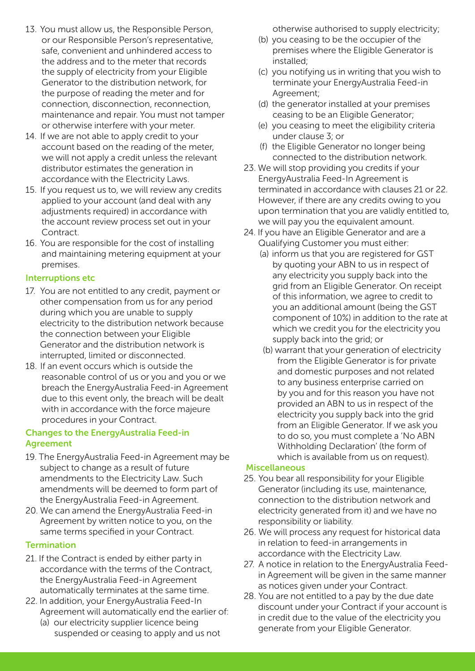- 13. You must allow us, the Responsible Person, or our Responsible Person's representative, safe, convenient and unhindered access to the address and to the meter that records the supply of electricity from your Eligible Generator to the distribution network, for the purpose of reading the meter and for connection, disconnection, reconnection, maintenance and repair. You must not tamper or otherwise interfere with your meter.
- 14. If we are not able to apply credit to your account based on the reading of the meter, we will not apply a credit unless the relevant distributor estimates the generation in accordance with the Electricity Laws.
- 15. If you request us to, we will review any credits applied to your account (and deal with any adjustments required) in accordance with the account review process set out in your Contract.
- 16. You are responsible for the cost of installing and maintaining metering equipment at your premises.

# Interruptions etc

- 17. You are not entitled to any credit, payment or other compensation from us for any period during which you are unable to supply electricity to the distribution network because the connection between your Eligible Generator and the distribution network is interrupted, limited or disconnected.
- 18. If an event occurs which is outside the reasonable control of us or you and you or we breach the EnergyAustralia Feed-in Agreement due to this event only, the breach will be dealt with in accordance with the force majeure procedures in your Contract.

# Changes to the EnergyAustralia Feed-in Agreement

- 19. The EnergyAustralia Feed-in Agreement may be subject to change as a result of future amendments to the Electricity Law. Such amendments will be deemed to form part of the EnergyAustralia Feed-in Agreement.
- 20. We can amend the EnergyAustralia Feed-in Agreement by written notice to you, on the same terms specified in your Contract.

# **Termination**

- 21. If the Contract is ended by either party in accordance with the terms of the Contract, the EnergyAustralia Feed-in Agreement automatically terminates at the same time.
- 22. In addition, your EnergyAustralia Feed-In Agreement will automatically end the earlier of:
	- (a) our electricity supplier licence being suspended or ceasing to apply and us not

otherwise authorised to supply electricity;

- (b) you ceasing to be the occupier of the premises where the Eligible Generator is installed;
- (c) you notifying us in writing that you wish to terminate your EnergyAustralia Feed-in Agreement;
- (d) the generator installed at your premises ceasing to be an Eligible Generator;
- (e) you ceasing to meet the eligibility criteria under clause 3; or
- (f) the Eligible Generator no longer being connected to the distribution network.
- 23. We will stop providing you credits if your EnergyAustralia Feed-In Agreement is terminated in accordance with clauses 21 or 22. However, if there are any credits owing to you upon termination that you are validly entitled to, we will pay you the equivalent amount.
- 24. If you have an Eligible Generator and are a Qualifying Customer you must either:
	- (a) inform us that you are registered for GST by quoting your ABN to us in respect of any electricity you supply back into the grid from an Eligible Generator. On receipt of this information, we agree to credit to you an additional amount (being the GST component of 10%) in addition to the rate at which we credit you for the electricity you supply back into the grid; or
	- (b) warrant that your generation of electricity from the Eligible Generator is for private and domestic purposes and not related to any business enterprise carried on by you and for this reason you have not provided an ABN to us in respect of the electricity you supply back into the grid from an Eligible Generator. If we ask you to do so, you must complete a 'No ABN Withholding Declaration' (the form of which is available from us on request).

#### Miscellaneous

- 25. You bear all responsibility for your Eligible Generator (including its use, maintenance, connection to the distribution network and electricity generated from it) and we have no responsibility or liability.
- 26. We will process any request for historical data in relation to feed-in arrangements in accordance with the Electricity Law.
- 27. A notice in relation to the EnergyAustralia Feedin Agreement will be given in the same manner as notices given under your Contract.
- 28. You are not entitled to a pay by the due date discount under your Contract if your account is in credit due to the value of the electricity you generate from your Eligible Generator.